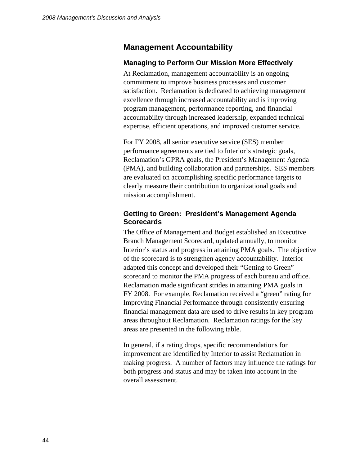# **Management Accountability**

### **Managing to Perform Our Mission More Effectively**

At Reclamation, management accountability is an ongoing commitment to improve business processes and customer satisfaction. Reclamation is dedicated to achieving management excellence through increased accountability and is improving program management, performance reporting, and financial accountability through increased leadership, expanded technical expertise, efficient operations, and improved customer service.

For FY 2008, all senior executive service (SES) member performance agreements are tied to Interior's strategic goals, Reclamation's GPRA goals, the President's Management Agenda (PMA), and building collaboration and partnerships. SES members are evaluated on accomplishing specific performance targets to clearly measure their contribution to organizational goals and mission accomplishment.

### **Getting to Green: President's Management Agenda Scorecards**

The Office of Management and Budget established an Executive Branch Management Scorecard, updated annually, to monitor Interior's status and progress in attaining PMA goals. The objective of the scorecard is to strengthen agency accountability. Interior adapted this concept and developed their "Getting to Green" scorecard to monitor the PMA progress of each bureau and office. Reclamation made significant strides in attaining PMA goals in FY 2008. For example, Reclamation received a "green" rating for Improving Financial Performance through consistently ensuring financial management data are used to drive results in key program areas throughout Reclamation. Reclamation ratings for the key areas are presented in the following table.

In general, if a rating drops, specific recommendations for improvement are identified by Interior to assist Reclamation in making progress. A number of factors may influence the ratings for both progress and status and may be taken into account in the overall assessment.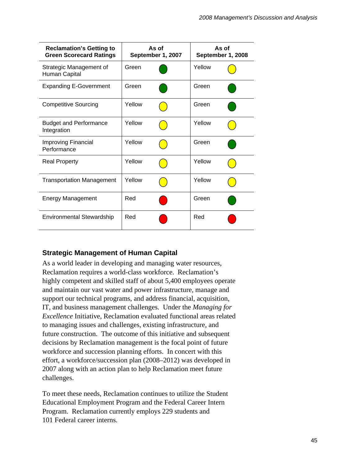| <b>Reclamation's Getting to</b><br><b>Green Scorecard Ratings</b> | As of<br>September 1, 2007 |  | As of<br>September 1, 2008 |  |
|-------------------------------------------------------------------|----------------------------|--|----------------------------|--|
| Strategic Management of<br>Human Capital                          | Green                      |  | Yellow                     |  |
| <b>Expanding E-Government</b>                                     | Green                      |  | Green                      |  |
| <b>Competitive Sourcing</b>                                       | Yellow                     |  | Green                      |  |
| <b>Budget and Performance</b><br>Integration                      | Yellow                     |  | Yellow                     |  |
| Improving Financial<br>Performance                                | Yellow                     |  | Green                      |  |
| <b>Real Property</b>                                              | Yellow                     |  | Yellow                     |  |
| <b>Transportation Management</b>                                  | Yellow                     |  | Yellow                     |  |
| <b>Energy Management</b>                                          | Red                        |  | Green                      |  |
| <b>Environmental Stewardship</b>                                  | Red                        |  | Red                        |  |

# **Strategic Management of Human Capital**

As a world leader in developing and managing water resources, Reclamation requires a world-class workforce. Reclamation's highly competent and skilled staff of about 5,400 employees operate and maintain our vast water and power infrastructure, manage and support our technical programs, and address financial, acquisition, IT, and business management challenges. Under the *Managing for Excellence* Initiative, Reclamation evaluated functional areas related to managing issues and challenges, existing infrastructure, and future construction. The outcome of this initiative and subsequent decisions by Reclamation management is the focal point of future workforce and succession planning efforts. In concert with this effort, a workforce/succession plan (2008–2012) was developed in 2007 along with an action plan to help Reclamation meet future challenges.

To meet these needs, Reclamation continues to utilize the Student Educational Employment Program and the Federal Career Intern Program. Reclamation currently employs 229 students and 101 Federal career interns.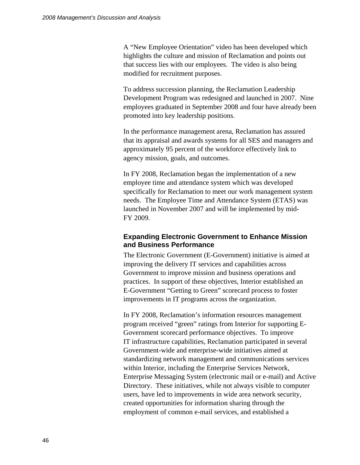A "New Employee Orientation" video has been developed which highlights the culture and mission of Reclamation and points out that success lies with our employees. The video is also being modified for recruitment purposes.

To address succession planning, the Reclamation Leadership Development Program was redesigned and launched in 2007. Nine employees graduated in September 2008 and four have already been promoted into key leadership positions.

In the performance management arena, Reclamation has assured that its appraisal and awards systems for all SES and managers and approximately 95 percent of the workforce effectively link to agency mission, goals, and outcomes.

In FY 2008, Reclamation began the implementation of a new employee time and attendance system which was developed specifically for Reclamation to meet our work management system needs. The Employee Time and Attendance System (ETAS) was launched in November 2007 and will be implemented by mid-FY 2009.

### **Expanding Electronic Government to Enhance Mission and Business Performance**

The Electronic Government (E-Government) initiative is aimed at improving the delivery IT services and capabilities across Government to improve mission and business operations and practices. In support of these objectives, Interior established an E-Government "Getting to Green" scorecard process to foster improvements in IT programs across the organization.

In FY 2008, Reclamation's information resources management program received "green" ratings from Interior for supporting E-Government scorecard performance objectives. To improve IT infrastructure capabilities, Reclamation participated in several Government-wide and enterprise-wide initiatives aimed at standardizing network management and communications services within Interior, including the Enterprise Services Network, Enterprise Messaging System (electronic mail or e-mail) and Active Directory. These initiatives, while not always visible to computer users, have led to improvements in wide area network security, created opportunities for information sharing through the employment of common e-mail services, and established a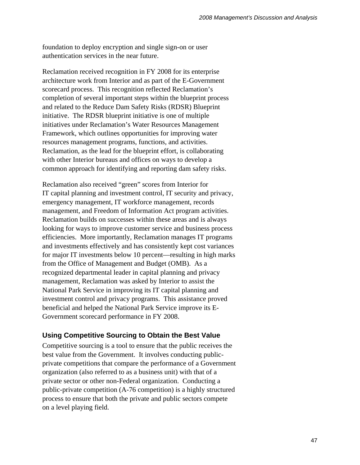foundation to deploy encryption and single sign-on or user authentication services in the near future.

Reclamation received recognition in FY 2008 for its enterprise architecture work from Interior and as part of the E-Government scorecard process. This recognition reflected Reclamation's completion of several important steps within the blueprint process and related to the Reduce Dam Safety Risks (RDSR) Blueprint initiative. The RDSR blueprint initiative is one of multiple initiatives under Reclamation's Water Resources Management Framework, which outlines opportunities for improving water resources management programs, functions, and activities. Reclamation, as the lead for the blueprint effort, is collaborating with other Interior bureaus and offices on ways to develop a common approach for identifying and reporting dam safety risks.

Reclamation also received "green" scores from Interior for IT capital planning and investment control, IT security and privacy, emergency management, IT workforce management, records management, and Freedom of Information Act program activities. Reclamation builds on successes within these areas and is always looking for ways to improve customer service and business process efficiencies. More importantly, Reclamation manages IT programs and investments effectively and has consistently kept cost variances for major IT investments below 10 percent—resulting in high marks from the Office of Management and Budget (OMB). As a recognized departmental leader in capital planning and privacy management, Reclamation was asked by Interior to assist the National Park Service in improving its IT capital planning and investment control and privacy programs. This assistance proved beneficial and helped the National Park Service improve its E-Government scorecard performance in FY 2008.

### **Using Competitive Sourcing to Obtain the Best Value**

Competitive sourcing is a tool to ensure that the public receives the best value from the Government. It involves conducting publicprivate competitions that compare the performance of a Government organization (also referred to as a business unit) with that of a private sector or other non-Federal organization. Conducting a public-private competition (A-76 competition) is a highly structured process to ensure that both the private and public sectors compete on a level playing field.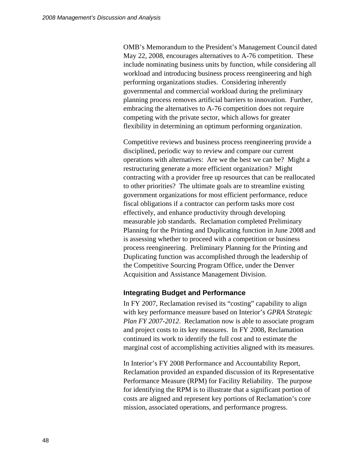OMB's Memorandum to the President's Management Council dated May 22, 2008, encourages alternatives to A-76 competition. These include nominating business units by function, while considering all workload and introducing business process reengineering and high performing organizations studies. Considering inherently governmental and commercial workload during the preliminary planning process removes artificial barriers to innovation. Further, embracing the alternatives to A-76 competition does not require competing with the private sector, which allows for greater flexibility in determining an optimum performing organization.

Competitive reviews and business process reengineering provide a disciplined, periodic way to review and compare our current operations with alternatives: Are we the best we can be? Might a restructuring generate a more efficient organization? Might contracting with a provider free up resources that can be reallocated to other priorities? The ultimate goals are to streamline existing government organizations for most efficient performance, reduce fiscal obligations if a contractor can perform tasks more cost effectively, and enhance productivity through developing measurable job standards. Reclamation completed Preliminary Planning for the Printing and Duplicating function in June 2008 and is assessing whether to proceed with a competition or business process reengineering. Preliminary Planning for the Printing and Duplicating function was accomplished through the leadership of the Competitive Sourcing Program Office, under the Denver Acquisition and Assistance Management Division.

### **Integrating Budget and Performance**

In FY 2007, Reclamation revised its "costing" capability to align with key performance measure based on Interior's *GPRA Strategic Plan FY 2007-2012*. Reclamation now is able to associate program and project costs to its key measures. In FY 2008, Reclamation continued its work to identify the full cost and to estimate the marginal cost of accomplishing activities aligned with its measures.

In Interior's FY 2008 Performance and Accountability Report, Reclamation provided an expanded discussion of its Representative Performance Measure (RPM) for Facility Reliability. The purpose for identifying the RPM is to illustrate that a significant portion of costs are aligned and represent key portions of Reclamation's core mission, associated operations, and performance progress.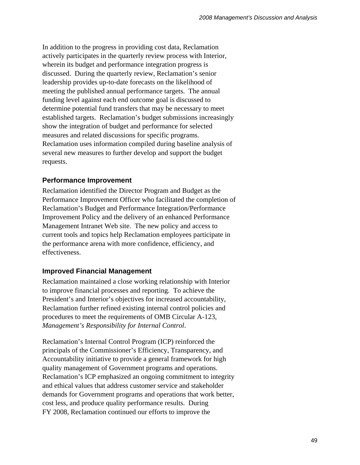In addition to the progress in providing cost data, Reclamation actively participates in the quarterly review process with Interior, wherein its budget and performance integration progress is discussed. During the quarterly review, Reclamation's senior leadership provides up-to-date forecasts on the likelihood of meeting the published annual performance targets. The annual funding level against each end outcome goal is discussed to determine potential fund transfers that may be necessary to meet established targets. Reclamation's budget submissions increasingly show the integration of budget and performance for selected measures and related discussions for specific programs. Reclamation uses information compiled during baseline analysis of several new measures to further develop and support the budget requests.

# **Performance Improvement**

Reclamation identified the Director Program and Budget as the Performance Improvement Officer who facilitated the completion of Reclamation's Budget and Performance Integration/Performance Improvement Policy and the delivery of an enhanced Performance Management Intranet Web site. The new policy and access to current tools and topics help Reclamation employees participate in the performance arena with more confidence, efficiency, and effectiveness.

## **Improved Financial Management**

Reclamation maintained a close working relationship with Interior to improve financial processes and reporting. To achieve the President's and Interior's objectives for increased accountability, Reclamation further refined existing internal control policies and procedures to meet the requirements of OMB Circular A-123, *Management's Responsibility for Internal Control*.

Reclamation's Internal Control Program (ICP) reinforced the principals of the Commissioner's Efficiency, Transparency, and Accountability initiative to provide a general framework for high quality management of Government programs and operations. Reclamation's ICP emphasized an ongoing commitment to integrity and ethical values that address customer service and stakeholder demands for Government programs and operations that work better, cost less, and produce quality performance results.During FY 2008, Reclamation continued our efforts to improve the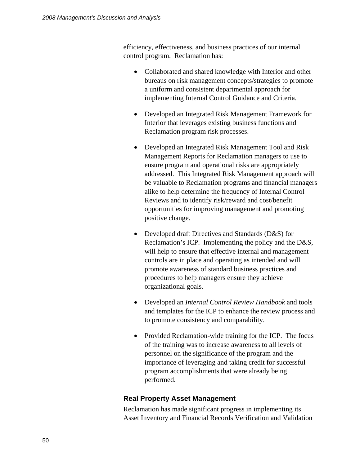efficiency, effectiveness, and business practices of our internal control program. Reclamation has:

- Collaborated and shared knowledge with Interior and other bureaus on risk management concepts/strategies to promote a uniform and consistent departmental approach for implementing Internal Control Guidance and Criteria.
- Developed an Integrated Risk Management Framework for Interior that leverages existing business functions and Reclamation program risk processes.
- Developed an Integrated Risk Management Tool and Risk Management Reports for Reclamation managers to use to ensure program and operational risks are appropriately addressed. This Integrated Risk Management approach will be valuable to Reclamation programs and financial managers alike to help determine the frequency of Internal Control Reviews and to identify risk/reward and cost/benefit opportunities for improving management and promoting positive change.
- Developed draft Directives and Standards (D&S) for Reclamation's ICP. Implementing the policy and the D&S, will help to ensure that effective internal and management controls are in place and operating as intended and will promote awareness of standard business practices and procedures to help managers ensure they achieve organizational goals.
- Developed an *Internal Control Review Handbook* and tools and templates for the ICP to enhance the review process and to promote consistency and comparability.
- Provided Reclamation-wide training for the ICP. The focus of the training was to increase awareness to all levels of personnel on the significance of the program and the importance of leveraging and taking credit for successful program accomplishments that were already being performed.

# **Real Property Asset Management**

Reclamation has made significant progress in implementing its Asset Inventory and Financial Records Verification and Validation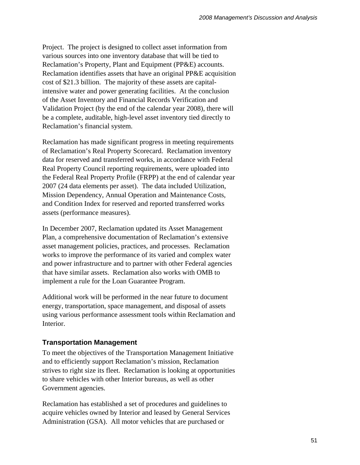Project. The project is designed to collect asset information from various sources into one inventory database that will be tied to Reclamation's Property, Plant and Equipment (PP&E) accounts. Reclamation identifies assets that have an original PP&E acquisition cost of \$21.3 billion. The majority of these assets are capitalintensive water and power generating facilities. At the conclusion of the Asset Inventory and Financial Records Verification and Validation Project (by the end of the calendar year 2008), there will be a complete, auditable, high-level asset inventory tied directly to Reclamation's financial system.

Reclamation has made significant progress in meeting requirements of Reclamation's Real Property Scorecard. Reclamation inventory data for reserved and transferred works, in accordance with Federal Real Property Council reporting requirements, were uploaded into the Federal Real Property Profile (FRPP) at the end of calendar year 2007 (24 data elements per asset). The data included Utilization, Mission Dependency, Annual Operation and Maintenance Costs, and Condition Index for reserved and reported transferred works assets (performance measures).

In December 2007, Reclamation updated its Asset Management Plan, a comprehensive documentation of Reclamation's extensive asset management policies, practices, and processes. Reclamation works to improve the performance of its varied and complex water and power infrastructure and to partner with other Federal agencies that have similar assets. Reclamation also works with OMB to implement a rule for the Loan Guarantee Program.

Additional work will be performed in the near future to document energy, transportation, space management, and disposal of assets using various performance assessment tools within Reclamation and Interior.

# **Transportation Management**

To meet the objectives of the Transportation Management Initiative and to efficiently support Reclamation's mission, Reclamation strives to right size its fleet. Reclamation is looking at opportunities to share vehicles with other Interior bureaus, as well as other Government agencies.

Reclamation has established a set of procedures and guidelines to acquire vehicles owned by Interior and leased by General Services Administration (GSA). All motor vehicles that are purchased or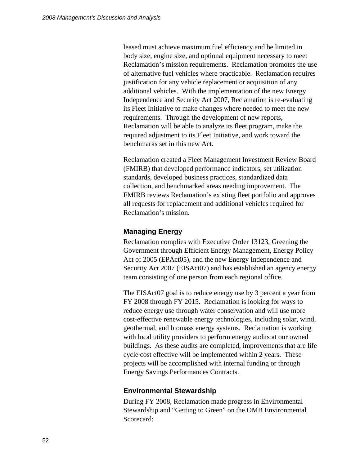leased must achieve maximum fuel efficiency and be limited in body size, engine size, and optional equipment necessary to meet Reclamation's mission requirements. Reclamation promotes the use of alternative fuel vehicles where practicable. Reclamation requires justification for any vehicle replacement or acquisition of any additional vehicles. With the implementation of the new Energy Independence and Security Act 2007, Reclamation is re-evaluating its Fleet Initiative to make changes where needed to meet the new requirements. Through the development of new reports, Reclamation will be able to analyze its fleet program, make the required adjustment to its Fleet Initiative, and work toward the benchmarks set in this new Act.

Reclamation created a Fleet Management Investment Review Board (FMIRB) that developed performance indicators, set utilization standards, developed business practices, standardized data collection, and benchmarked areas needing improvement. The FMIRB reviews Reclamation's existing fleet portfolio and approves all requests for replacement and additional vehicles required for Reclamation's mission.

### **Managing Energy**

Reclamation complies with Executive Order 13123, Greening the Government through Efficient Energy Management, Energy Policy Act of 2005 (EPAct05), and the new Energy Independence and Security Act 2007 (EISAct07) and has established an agency energy team consisting of one person from each regional office.

The EISAct07 goal is to reduce energy use by 3 percent a year from FY 2008 through FY 2015. Reclamation is looking for ways to reduce energy use through water conservation and will use more cost-effective renewable energy technologies, including solar, wind, geothermal, and biomass energy systems. Reclamation is working with local utility providers to perform energy audits at our owned buildings. As these audits are completed, improvements that are life cycle cost effective will be implemented within 2 years. These projects will be accomplished with internal funding or through Energy Savings Performances Contracts.

### **Environmental Stewardship**

During FY 2008, Reclamation made progress in Environmental Stewardship and "Getting to Green" on the OMB Environmental Scorecard: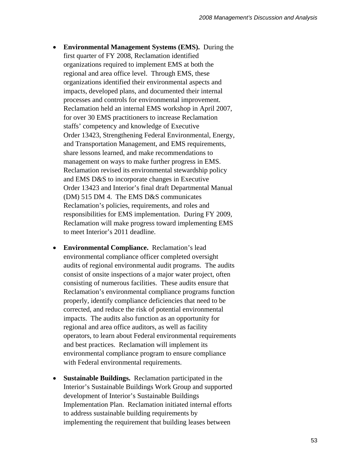- **Environmental Management Systems (EMS).** During the first quarter of FY 2008, Reclamation identified organizations required to implement EMS at both the regional and area office level. Through EMS, these organizations identified their environmental aspects and impacts, developed plans, and documented their internal processes and controls for environmental improvement. Reclamation held an internal EMS workshop in April 2007, for over 30 EMS practitioners to increase Reclamation staffs' competency and knowledge of Executive Order 13423, Strengthening Federal Environmental, Energy, and Transportation Management, and EMS requirements, share lessons learned, and make recommendations to management on ways to make further progress in EMS. Reclamation revised its environmental stewardship policy and EMS D&S to incorporate changes in Executive Order 13423 and Interior's final draft Departmental Manual (DM) 515 DM 4. The EMS D&S communicates Reclamation's policies, requirements, and roles and responsibilities for EMS implementation. During FY 2009, Reclamation will make progress toward implementing EMS to meet Interior's 2011 deadline.
- **Environmental Compliance.** Reclamation's lead environmental compliance officer completed oversight audits of regional environmental audit programs. The audits consist of onsite inspections of a major water project, often consisting of numerous facilities. These audits ensure that Reclamation's environmental compliance programs function properly, identify compliance deficiencies that need to be corrected, and reduce the risk of potential environmental impacts. The audits also function as an opportunity for regional and area office auditors, as well as facility operators, to learn about Federal environmental requirements and best practices. Reclamation will implement its environmental compliance program to ensure compliance with Federal environmental requirements.
- **Sustainable Buildings.** Reclamation participated in the Interior's Sustainable Buildings Work Group and supported development of Interior's Sustainable Buildings Implementation Plan. Reclamation initiated internal efforts to address sustainable building requirements by implementing the requirement that building leases between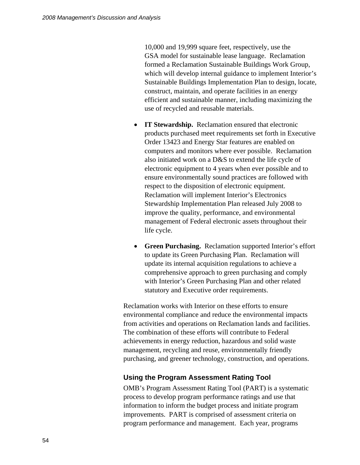10,000 and 19,999 square feet, respectively, use the GSA model for sustainable lease language. Reclamation formed a Reclamation Sustainable Buildings Work Group, which will develop internal guidance to implement Interior's Sustainable Buildings Implementation Plan to design, locate, construct, maintain, and operate facilities in an energy efficient and sustainable manner, including maximizing the use of recycled and reusable materials.

- **IT Stewardship.** Reclamation ensured that electronic products purchased meet requirements set forth in Executive Order 13423 and Energy Star features are enabled on computers and monitors where ever possible. Reclamation also initiated work on a D&S to extend the life cycle of electronic equipment to 4 years when ever possible and to ensure environmentally sound practices are followed with respect to the disposition of electronic equipment. Reclamation will implement Interior's Electronics Stewardship Implementation Plan released July 2008 to improve the quality, performance, and environmental management of Federal electronic assets throughout their life cycle.
- **Green Purchasing.** Reclamation supported Interior's effort to update its Green Purchasing Plan. Reclamation will update its internal acquisition regulations to achieve a comprehensive approach to green purchasing and comply with Interior's Green Purchasing Plan and other related statutory and Executive order requirements.

Reclamation works with Interior on these efforts to ensure environmental compliance and reduce the environmental impacts from activities and operations on Reclamation lands and facilities. The combination of these efforts will contribute to Federal achievements in energy reduction, hazardous and solid waste management, recycling and reuse, environmentally friendly purchasing, and greener technology, construction, and operations.

### **Using the Program Assessment Rating Tool**

OMB's Program Assessment Rating Tool (PART) is a systematic process to develop program performance ratings and use that information to inform the budget process and initiate program improvements. PART is comprised of assessment criteria on program performance and management. Each year, programs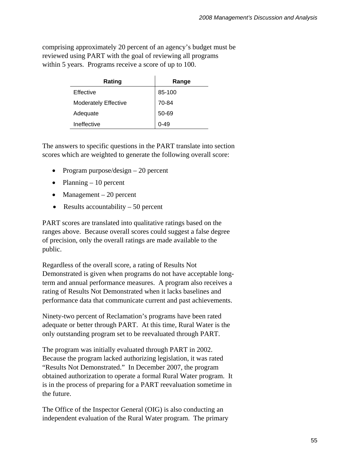comprising approximately 20 percent of an agency's budget must be reviewed using PART with the goal of reviewing all programs within 5 years. Programs receive a score of up to 100.

| Rating                      | Range  |
|-----------------------------|--------|
| Effective                   | 85-100 |
| <b>Moderately Effective</b> | 70-84  |
| Adequate                    | 50-69  |
| Ineffective                 | በ-49   |

The answers to specific questions in the PART translate into section scores which are weighted to generate the following overall score:

- Program purpose/design 20 percent
- Planning  $-10$  percent
- Management  $-20$  percent
- Results accountability  $-50$  percent

PART scores are translated into qualitative ratings based on the ranges above. Because overall scores could suggest a false degree of precision, only the overall ratings are made available to the public.

Regardless of the overall score, a rating of Results Not Demonstrated is given when programs do not have acceptable longterm and annual performance measures. A program also receives a rating of Results Not Demonstrated when it lacks baselines and performance data that communicate current and past achievements.

Ninety-two percent of Reclamation's programs have been rated adequate or better through PART. At this time, Rural Water is the only outstanding program set to be reevaluated through PART.

The program was initially evaluated through PART in 2002. Because the program lacked authorizing legislation, it was rated "Results Not Demonstrated." In December 2007, the program obtained authorization to operate a formal Rural Water program. It is in the process of preparing for a PART reevaluation sometime in the future.

The Office of the Inspector General (OIG) is also conducting an independent evaluation of the Rural Water program. The primary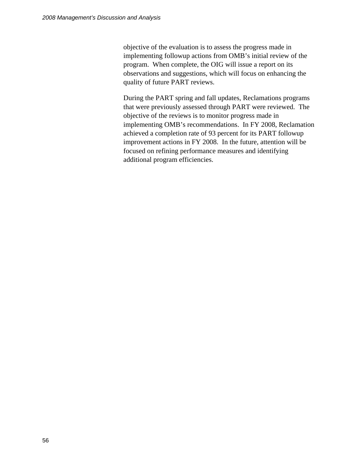objective of the evaluation is to assess the progress made in implementing followup actions from OMB's initial review of the program. When complete, the OIG will issue a report on its observations and suggestions, which will focus on enhancing the quality of future PART reviews.

During the PART spring and fall updates, Reclamations programs that were previously assessed through PART were reviewed. The objective of the reviews is to monitor progress made in implementing OMB's recommendations. In FY 2008, Reclamation achieved a completion rate of 93 percent for its PART followup improvement actions in FY 2008. In the future, attention will be focused on refining performance measures and identifying additional program efficiencies.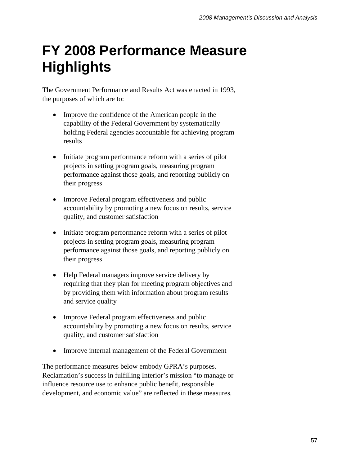# **FY 2008 Performance Measure Highlights**

The Government Performance and Results Act was enacted in 1993, the purposes of which are to:

- Improve the confidence of the American people in the capability of the Federal Government by systematically holding Federal agencies accountable for achieving program results
- Initiate program performance reform with a series of pilot projects in setting program goals, measuring program performance against those goals, and reporting publicly on their progress
- Improve Federal program effectiveness and public accountability by promoting a new focus on results, service quality, and customer satisfaction
- Initiate program performance reform with a series of pilot projects in setting program goals, measuring program performance against those goals, and reporting publicly on their progress
- Help Federal managers improve service delivery by requiring that they plan for meeting program objectives and by providing them with information about program results and service quality
- Improve Federal program effectiveness and public accountability by promoting a new focus on results, service quality, and customer satisfaction
- Improve internal management of the Federal Government

The performance measures below embody GPRA's purposes. Reclamation's success in fulfilling Interior's mission "to manage or influence resource use to enhance public benefit, responsible development, and economic value" are reflected in these measures*.*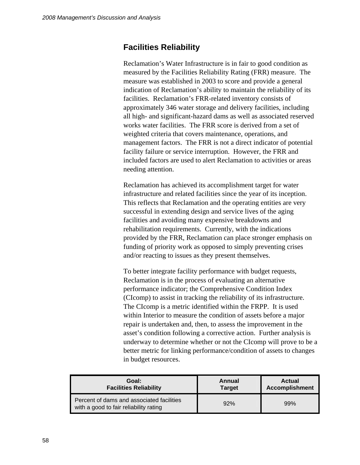# **Facilities Reliability**

Reclamation's Water Infrastructure is in fair to good condition as measured by the Facilities Reliability Rating (FRR) measure. The measure was established in 2003 to score and provide a general indication of Reclamation's ability to maintain the reliability of its facilities. Reclamation's FRR-related inventory consists of approximately 346 water storage and delivery facilities, including all high- and significant-hazard dams as well as associated reserved works water facilities. The FRR score is derived from a set of weighted criteria that covers maintenance, operations, and management factors. The FRR is not a direct indicator of potential facility failure or service interruption. However, the FRR and included factors are used to alert Reclamation to activities or areas needing attention.

Reclamation has achieved its accomplishment target for water infrastructure and related facilities since the year of its inception. This reflects that Reclamation and the operating entities are very successful in extending design and service lives of the aging facilities and avoiding many expensive breakdowns and rehabilitation requirements. Currently, with the indications provided by the FRR, Reclamation can place stronger emphasis on funding of priority work as opposed to simply preventing crises and/or reacting to issues as they present themselves.

To better integrate facility performance with budget requests, Reclamation is in the process of evaluating an alternative performance indicator; the Comprehensive Condition Index (CIcomp) to assist in tracking the reliability of its infrastructure. The CIcomp is a metric identified within the FRPP. It is used within Interior to measure the condition of assets before a major repair is undertaken and, then, to assess the improvement in the asset's condition following a corrective action. Further analysis is underway to determine whether or not the CIcomp will prove to be a better metric for linking performance/condition of assets to changes in budget resources.

| Goal:                                                                               | Annual        | <b>Actual</b>         |
|-------------------------------------------------------------------------------------|---------------|-----------------------|
| <b>Facilities Reliability</b>                                                       | <b>Target</b> | <b>Accomplishment</b> |
| Percent of dams and associated facilities<br>with a good to fair reliability rating | 92%           | 99%                   |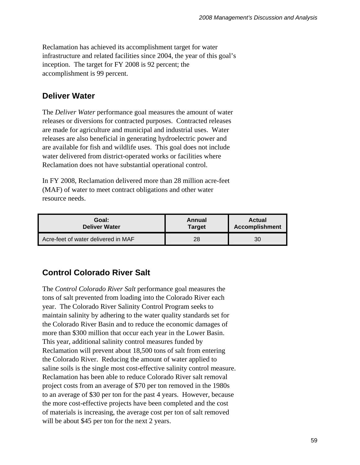Reclamation has achieved its accomplishment target for water infrastructure and related facilities since 2004, the year of this goal's inception. The target for FY 2008 is 92 percent; the accomplishment is 99 percent.

# **Deliver Water**

The *Deliver Water* performance goal measures the amount of water releases or diversions for contracted purposes. Contracted releases are made for agriculture and municipal and industrial uses. Water releases are also beneficial in generating hydroelectric power and are available for fish and wildlife uses. This goal does not include water delivered from district-operated works or facilities where Reclamation does not have substantial operational control.

In FY 2008, Reclamation delivered more than 28 million acre-feet (MAF) of water to meet contract obligations and other water resource needs.

| Goal:                               | Annual        | <b>Actual</b>         |  |
|-------------------------------------|---------------|-----------------------|--|
| <b>Deliver Water</b>                | <b>Target</b> | <b>Accomplishment</b> |  |
| Acre-feet of water delivered in MAF | 28            | 30                    |  |

# **Control Colorado River Salt**

The *Control Colorado River Salt* performance goal measures the tons of salt prevented from loading into the Colorado River each year. The Colorado River Salinity Control Program seeks to maintain salinity by adhering to the water quality standards set for the Colorado River Basin and to reduce the economic damages of more than \$300 million that occur each year in the Lower Basin. This year, additional salinity control measures funded by Reclamation will prevent about 18,500 tons of salt from entering the Colorado River. Reducing the amount of water applied to saline soils is the single most cost-effective salinity control measure. Reclamation has been able to reduce Colorado River salt removal project costs from an average of \$70 per ton removed in the 1980s to an average of \$30 per ton for the past 4 years. However, because the more cost-effective projects have been completed and the cost of materials is increasing, the average cost per ton of salt removed will be about \$45 per ton for the next 2 years.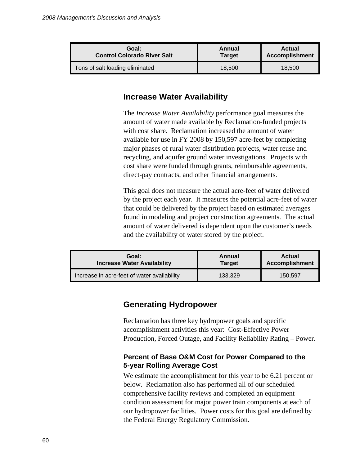| Goal:                              | Annual        | <b>Actual</b>         |
|------------------------------------|---------------|-----------------------|
| <b>Control Colorado River Salt</b> | <b>Target</b> | <b>Accomplishment</b> |
| Tons of salt loading eliminated    | 18,500        | 18.500                |

# **Increase Water Availability**

The *Increase Water Availability* performance goal measures the amount of water made available by Reclamation-funded projects with cost share. Reclamation increased the amount of water available for use in FY 2008 by 150,597 acre-feet by completing major phases of rural water distribution projects, water reuse and recycling, and aquifer ground water investigations. Projects with cost share were funded through grants, reimbursable agreements, direct-pay contracts, and other financial arrangements.

This goal does not measure the actual acre-feet of water delivered by the project each year. It measures the potential acre-feet of water that could be delivered by the project based on estimated averages found in modeling and project construction agreements. The actual amount of water delivered is dependent upon the customer's needs and the availability of water stored by the project.

| Goal:                                       | Annual        | <b>Actual</b>         |  |
|---------------------------------------------|---------------|-----------------------|--|
| <b>Increase Water Availability</b>          | <b>Target</b> | <b>Accomplishment</b> |  |
| Increase in acre-feet of water availability | 133,329       | 150.597               |  |

# **Generating Hydropower**

Reclamation has three key hydropower goals and specific accomplishment activities this year: Cost-Effective Power Production, Forced Outage, and Facility Reliability Rating – Power.

## **Percent of Base O&M Cost for Power Compared to the 5-year Rolling Average Cost**

We estimate the accomplishment for this year to be 6.21 percent or below. Reclamation also has performed all of our scheduled comprehensive facility reviews and completed an equipment condition assessment for major power train components at each of our hydropower facilities. Power costs for this goal are defined by the Federal Energy Regulatory Commission.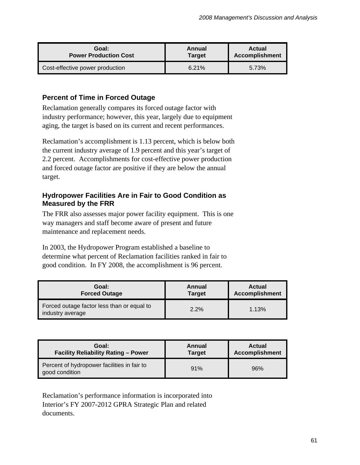| Goal:                           | Annual        | <b>Actual</b>         |
|---------------------------------|---------------|-----------------------|
| <b>Power Production Cost</b>    | <b>Target</b> | <b>Accomplishment</b> |
| Cost-effective power production | 6.21%         | 5.73%                 |

# **Percent of Time in Forced Outage**

Reclamation generally compares its forced outage factor with industry performance; however, this year, largely due to equipment aging, the target is based on its current and recent performances.

Reclamation's accomplishment is 1.13 percent, which is below both the current industry average of 1.9 percent and this year's target of 2.2 percent. Accomplishments for cost-effective power production and forced outage factor are positive if they are below the annual target.

# **Hydropower Facilities Are in Fair to Good Condition as Measured by the FRR**

The FRR also assesses major power facility equipment. This is one way managers and staff become aware of present and future maintenance and replacement needs.

In 2003, the Hydropower Program established a baseline to determine what percent of Reclamation facilities ranked in fair to good condition. In FY 2008, the accomplishment is 96 percent.

| Goal:                                                          | Annual        | <b>Actual</b>         |  |
|----------------------------------------------------------------|---------------|-----------------------|--|
| <b>Forced Outage</b>                                           | <b>Target</b> | <b>Accomplishment</b> |  |
| Forced outage factor less than or equal to<br>industry average | $2.2\%$       | 1.13%                 |  |

| Goal:                                                         | Annual        | <b>Actual</b>         |
|---------------------------------------------------------------|---------------|-----------------------|
| <b>Facility Reliability Rating - Power</b>                    | <b>Target</b> | <b>Accomplishment</b> |
| Percent of hydropower facilities in fair to<br>good condition | 91%           | 96%                   |

Reclamation's performance information is incorporated into Interior's FY 2007-2012 GPRA Strategic Plan and related documents.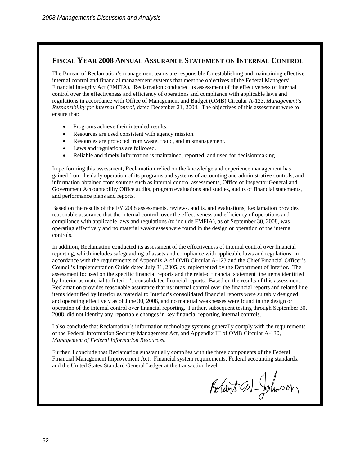### **FISCAL YEAR 2008 ANNUAL ASSURANCE STATEMENT ON INTERNAL CONTROL**

The Bureau of Reclamation's management teams are responsible for establishing and maintaining effective internal control and financial management systems that meet the objectives of the Federal Managers' Financial Integrity Act (FMFIA). Reclamation conducted its assessment of the effectiveness of internal control over the effectiveness and efficiency of operations and compliance with applicable laws and regulations in accordance with Office of Management and Budget (OMB) Circular A-123, *Management's Responsibility for Internal Control,* dated December 21, 2004. The objectives of this assessment were to ensure that:

- Programs achieve their intended results.
- Resources are used consistent with agency mission.
- Resources are protected from waste, fraud, and mismanagement.
- Laws and regulations are followed.
- Reliable and timely information is maintained, reported, and used for decisionmaking.

In performing this assessment, Reclamation relied on the knowledge and experience management has gained from the daily operation of its programs and systems of accounting and administrative controls, and information obtained from sources such as internal control assessments, Office of Inspector General and Government Accountability Office audits, program evaluations and studies, audits of financial statements, and performance plans and reports.

Based on the results of the FY 2008 assessments, reviews, audits, and evaluations, Reclamation provides reasonable assurance that the internal control, over the effectiveness and efficiency of operations and compliance with applicable laws and regulations (to include FMFIA), as of September 30, 2008, was operating effectively and no material weaknesses were found in the design or operation of the internal controls.

In addition, Reclamation conducted its assessment of the effectiveness of internal control over financial reporting, which includes safeguarding of assets and compliance with applicable laws and regulations, in accordance with the requirements of Appendix A of OMB Circular A-123 and the Chief Financial Officer's Council's Implementation Guide dated July 31, 2005, as implemented by the Department of Interior. The assessment focused on the specific financial reports and the related financial statement line items identified by Interior as material to Interior's consolidated financial reports. Based on the results of this assessment, Reclamation provides reasonable assurance that its internal control over the financial reports and related line items identified by Interior as material to Interior's consolidated financial reports were suitably designed and operating effectively as of June 30, 2008, and no material weaknesses were found in the design or operation of the internal control over financial reporting. Further, subsequent testing through September 30, 2008, did not identify any reportable changes in key financial reporting internal controls.

I also conclude that Reclamation's information technology systems generally **c**omply with the requirements of the Federal Information Security Management Act, and Appendix III of OMB Circular A-130, *Management of Federal Information Resources*.

Further, I conclude that Reclamation substantially complies with the three components of the Federal Financial Management Improvement Act: Financial system requirements, Federal accounting standards, and the United States Standard General Ledger at the transaction level.

Rolant av-Johnson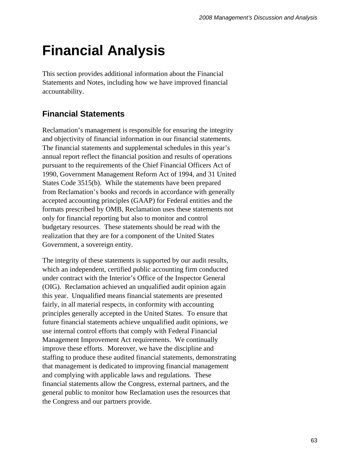# **Financial Analysis**

This section provides additional information about the Financial Statements and Notes, including how we have improved financial accountability.

# **Financial Statements**

Reclamation's management is responsible for ensuring the integrity and objectivity of financial information in our financial statements. The financial statements and supplemental schedules in this year's annual report reflect the financial position and results of operations pursuant to the requirements of the Chief Financial Officers Act of 1990, Government Management Reform Act of 1994, and 31 United States Code 3515(b). While the statements have been prepared from Reclamation's books and records in accordance with generally accepted accounting principles (GAAP) for Federal entities and the formats prescribed by OMB, Reclamation uses these statements not only for financial reporting but also to monitor and control budgetary resources. These statements should be read with the realization that they are for a component of the United States Government, a sovereign entity.

The integrity of these statements is supported by our audit results, which an independent, certified public accounting firm conducted under contract with the Interior's Office of the Inspector General (OIG). Reclamation achieved an unqualified audit opinion again this year. Unqualified means financial statements are presented fairly, in all material respects, in conformity with accounting principles generally accepted in the United States. To ensure that future financial statements achieve unqualified audit opinions, we use internal control efforts that comply with Federal Financial Management Improvement Act requirements. We continually improve these efforts. Moreover, we have the discipline and staffing to produce these audited financial statements, demonstrating that management is dedicated to improving financial management and complying with applicable laws and regulations. These financial statements allow the Congress, external partners, and the general public to monitor how Reclamation uses the resources that the Congress and our partners provide.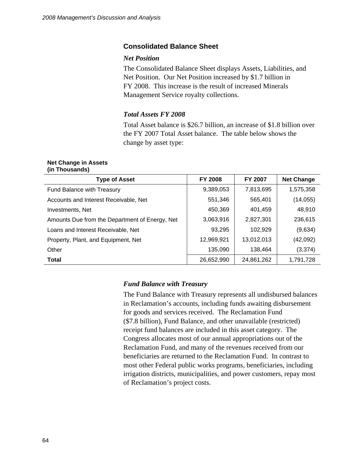### **Consolidated Balance Sheet**

### *Net Position*

The Consolidated Balance Sheet displays Assets, Liabilities, and Net Position. Our Net Position increased by \$1.7 billion in FY 2008. This increase is the result of increased Minerals Management Service royalty collections.

### *Total Assets FY 2008*

Total Asset balance is \$26.7 billion, an increase of \$1.8 billion over the FY 2007 Total Asset balance. The table below shows the change by asset type:

#### **Net Change in Assets (in Thousands)**

| <b>Type of Asset</b>                           | <b>FY 2008</b> | <b>FY 2007</b> | <b>Net Change</b> |
|------------------------------------------------|----------------|----------------|-------------------|
| Fund Balance with Treasury                     | 9,389,053      | 7,813,695      | 1,575,358         |
| Accounts and Interest Receivable, Net          | 551,346        | 565,401        | (14, 055)         |
| Investments, Net                               | 450,369        | 401,459        | 48,910            |
| Amounts Due from the Department of Energy, Net | 3,063,916      | 2,827,301      | 236,615           |
| Loans and Interest Receivable, Net             | 93,295         | 102,929        | (9,634)           |
| Property, Plant, and Equipment, Net            | 12,969,921     | 13,012,013     | (42,092)          |
| Other                                          | 135,090        | 138,464        | (3, 374)          |
| <b>Total</b>                                   | 26,652,990     | 24,861,262     | 1,791,728         |

### *Fund Balance with Treasury*

The Fund Balance with Treasury represents all undisbursed balances in Reclamation's accounts, including funds awaiting disbursement for goods and services received. The Reclamation Fund (\$7.8 billion), Fund Balance, and other unavailable (restricted) receipt fund balances are included in this asset category. The Congress allocates most of our annual appropriations out of the Reclamation Fund, and many of the revenues received from our beneficiaries are returned to the Reclamation Fund. In contrast to most other Federal public works programs, beneficiaries, including irrigation districts, municipalities, and power customers, repay most of Reclamation's project costs.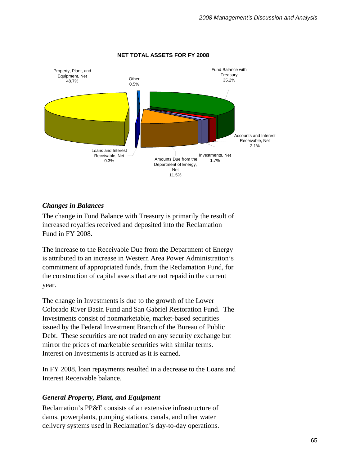

### **NET TOTAL ASSETS FOR FY 2008**

### *Changes in Balances*

The change in Fund Balance with Treasury is primarily the result of increased royalties received and deposited into the Reclamation Fund in FY 2008.

The increase to the Receivable Due from the Department of Energy is attributed to an increase in Western Area Power Administration's commitment of appropriated funds, from the Reclamation Fund, for the construction of capital assets that are not repaid in the current year.

The change in Investments is due to the growth of the Lower Colorado River Basin Fund and San Gabriel Restoration Fund. The Investments consist of nonmarketable, market-based securities issued by the Federal Investment Branch of the Bureau of Public Debt. These securities are not traded on any security exchange but mirror the prices of marketable securities with similar terms. Interest on Investments is accrued as it is earned.

In FY 2008, loan repayments resulted in a decrease to the Loans and Interest Receivable balance.

## *General Property, Plant, and Equipment*

Reclamation's PP&E consists of an extensive infrastructure of dams, powerplants, pumping stations, canals, and other water delivery systems used in Reclamation's day-to-day operations.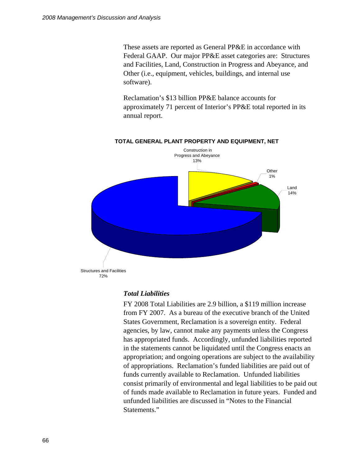These assets are reported as General PP&E in accordance with Federal GAAP. Our major PP&E asset categories are: Structures and Facilities, Land, Construction in Progress and Abeyance, and Other (i.e., equipment, vehicles, buildings, and internal use software).

Reclamation's \$13 billion PP&E balance accounts for approximately 71 percent of Interior's PP&E total reported in its annual report.



#### **TOTAL GENERAL PLANT PROPERTY AND EQUIPMENT, NET**

### *Total Liabilities*

FY 2008 Total Liabilities are 2.9 billion, a \$119 million increase from FY 2007. As a bureau of the executive branch of the United States Government, Reclamation is a sovereign entity. Federal agencies, by law, cannot make any payments unless the Congress has appropriated funds. Accordingly, unfunded liabilities reported in the statements cannot be liquidated until the Congress enacts an appropriation; and ongoing operations are subject to the availability of appropriations. Reclamation's funded liabilities are paid out of funds currently available to Reclamation. Unfunded liabilities consist primarily of environmental and legal liabilities to be paid out of funds made available to Reclamation in future years. Funded and unfunded liabilities are discussed in "Notes to the Financial Statements."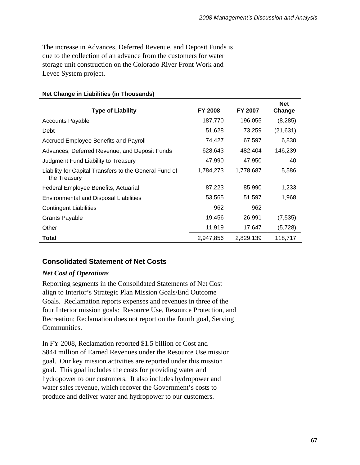The increase in Advances, Deferred Revenue, and Deposit Funds is due to the collection of an advance from the customers for water storage unit construction on the Colorado River Front Work and Levee System project.

| <b>Type of Liability</b>                                               | <b>FY 2008</b> | FY 2007   | <b>Net</b><br>Change |
|------------------------------------------------------------------------|----------------|-----------|----------------------|
|                                                                        | 187,770        | 196,055   |                      |
| <b>Accounts Payable</b>                                                |                |           | (8, 285)             |
| Debt                                                                   | 51,628         | 73,259    | (21, 631)            |
| Accrued Employee Benefits and Payroll                                  | 74,427         | 67,597    | 6,830                |
| Advances, Deferred Revenue, and Deposit Funds                          | 628,643        | 482,404   | 146,239              |
| Judgment Fund Liability to Treasury                                    | 47,990         | 47,950    | 40                   |
| Liability for Capital Transfers to the General Fund of<br>the Treasury | 1,784,273      | 1,778,687 | 5,586                |
| Federal Employee Benefits, Actuarial                                   | 87,223         | 85,990    | 1,233                |
| <b>Environmental and Disposal Liabilities</b>                          | 53,565         | 51,597    | 1,968                |
| <b>Contingent Liabilities</b>                                          | 962            | 962       |                      |
| <b>Grants Payable</b>                                                  | 19,456         | 26,991    | (7, 535)             |
| Other                                                                  | 11,919         | 17,647    | (5, 728)             |
| <b>Total</b>                                                           | 2,947,856      | 2,829,139 | 118,717              |

### **Net Change in Liabilities (in Thousands)**

## **Consolidated Statement of Net Costs**

## *Net Cost of Operations*

Reporting segments in the Consolidated Statements of Net Cost align to Interior's Strategic Plan Mission Goals/End Outcome Goals. Reclamation reports expenses and revenues in three of the four Interior mission goals: Resource Use, Resource Protection, and Recreation; Reclamation does not report on the fourth goal, Serving **Communities.** 

In FY 2008, Reclamation reported \$1.5 billion of Cost and \$844 million of Earned Revenues under the Resource Use mission goal. Our key mission activities are reported under this mission goal. This goal includes the costs for providing water and hydropower to our customers. It also includes hydropower and water sales revenue, which recover the Government's costs to produce and deliver water and hydropower to our customers.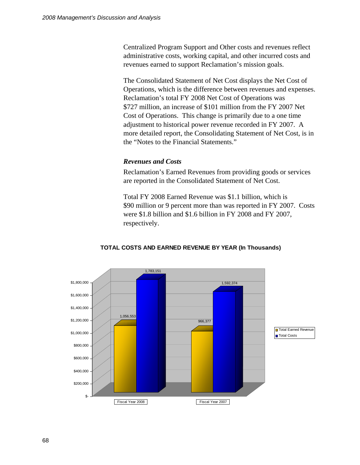Centralized Program Support and Other costs and revenues reflect administrative costs, working capital, and other incurred costs and revenues earned to support Reclamation's mission goals.

The Consolidated Statement of Net Cost displays the Net Cost of Operations, which is the difference between revenues and expenses. Reclamation's total FY 2008 Net Cost of Operations was \$727 million, an increase of \$101 million from the FY 2007 Net Cost of Operations. This change is primarily due to a one time adjustment to historical power revenue recorded in FY 2007. A more detailed report, the Consolidating Statement of Net Cost, is in the "Notes to the Financial Statements."

# *Revenues and Costs*

Reclamation's Earned Revenues from providing goods or services are reported in the Consolidated Statement of Net Cost.

Total FY 2008 Earned Revenue was \$1.1 billion, which is \$90 million or 9 percent more than was reported in FY 2007. Costs were \$1.8 billion and \$1.6 billion in FY 2008 and FY 2007, respectively.



### **TOTAL COSTS AND EARNED REVENUE BY YEAR (In Thousands)**